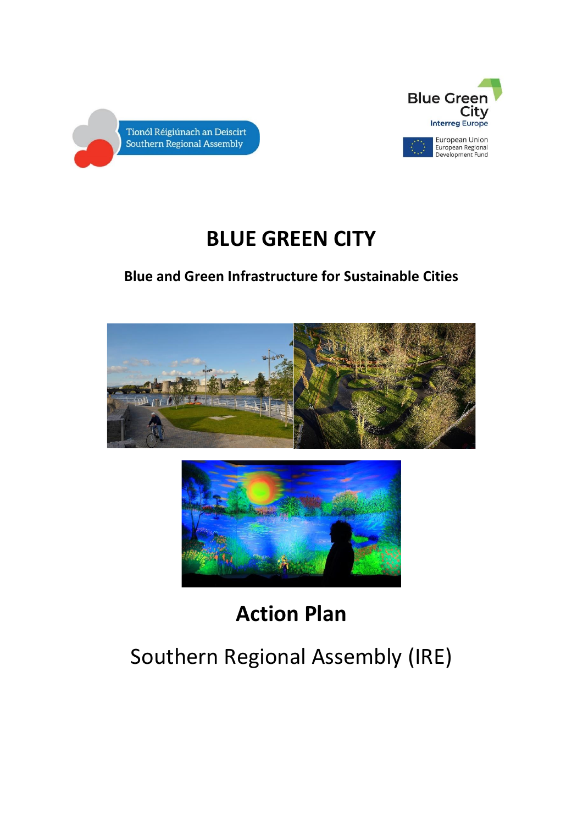



# **BLUE GREEN CITY**

# **Blue and Green Infrastructure for Sustainable Cities**





# **Action Plan**

# Southern Regional Assembly (IRE)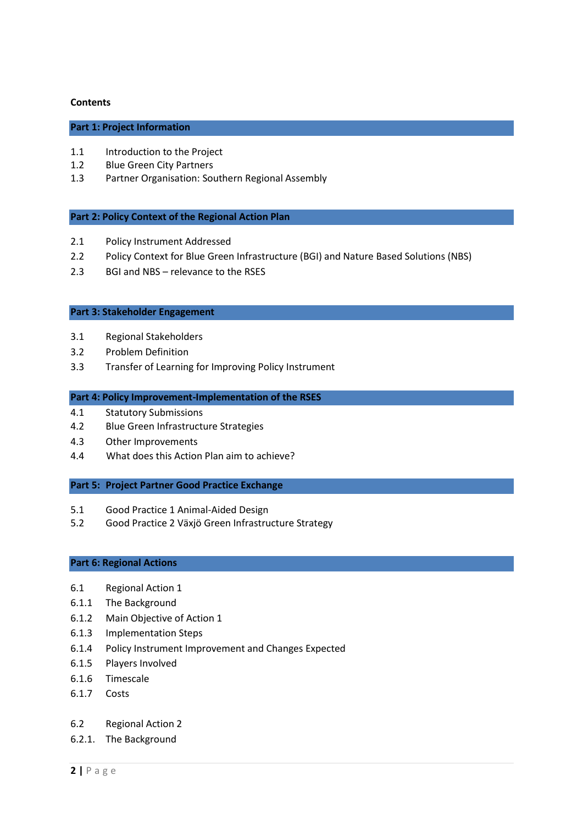#### **Contents**

# **Part 1: Project Information**

- 1.1 Introduction to the Project
- 1.2 Blue Green City Partners
- 1.3 Partner Organisation: Southern Regional Assembly

#### **Part 2: Policy Context of the Regional Action Plan**

- 2.1 Policy Instrument Addressed
- 2.2 Policy Context for Blue Green Infrastructure (BGI) and Nature Based Solutions (NBS)
- 2.3 BGI and NBS relevance to the RSES

#### **Part 3: Stakeholder Engagement**

- 3.1 Regional Stakeholders
- 3.2 Problem Definition
- 3.3 Transfer of Learning for Improving Policy Instrument

#### **Part 4: Policy Improvement-Implementation of the RSES**

- 4.1 Statutory Submissions
- 4.2 Blue Green Infrastructure Strategies
- 4.3 Other Improvements
- 4.4 What does this Action Plan aim to achieve?

#### **Part 5: Project Partner Good Practice Exchange**

- 5.1 Good Practice 1 Animal-Aided Design
- 5.2 Good Practice 2 Växjö Green Infrastructure Strategy

# **Part 6: Regional Actions**

- 6.1 Regional Action 1
- 6.1.1 The Background
- 6.1.2 Main Objective of Action 1
- 6.1.3 Implementation Steps
- 6.1.4 Policy Instrument Improvement and Changes Expected
- 6.1.5 Players Involved
- 6.1.6 Timescale
- 6.1.7 Costs
- 6.2 Regional Action 2
- 6.2.1. The Background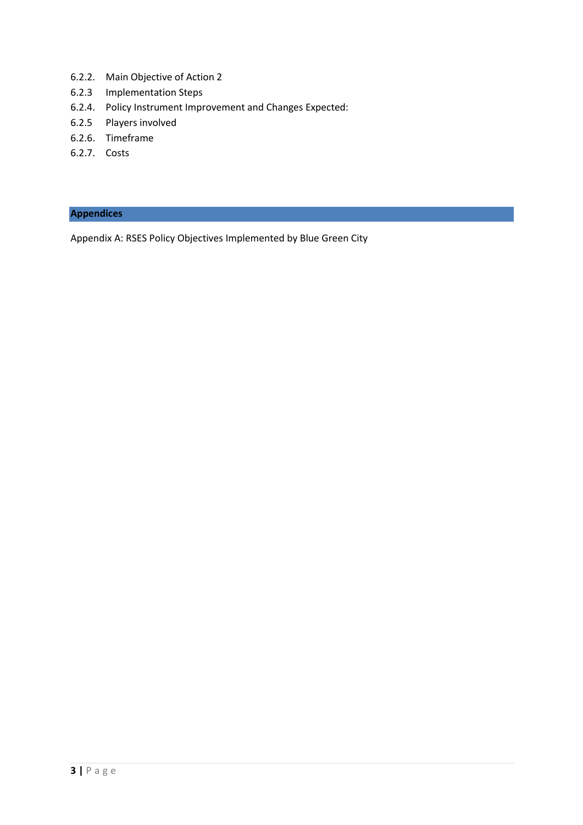- 6.2.2. Main Objective of Action 2
- 6.2.3 Implementation Steps
- 6.2.4. Policy Instrument Improvement and Changes Expected:
- 6.2.5 Players involved
- 6.2.6. Timeframe
- 6.2.7. Costs

# **Appendices**

Appendix A: RSES Policy Objectives Implemented by Blue Green City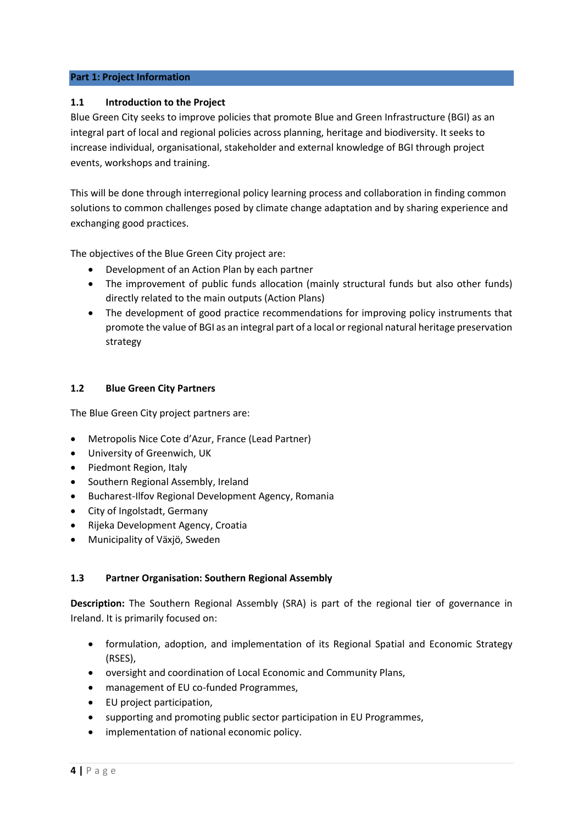# **Part 1: Project Information**

# **1.1 Introduction to the Project**

Blue Green City seeks to improve policies that promote Blue and Green Infrastructure (BGI) as an integral part of local and regional policies across planning, heritage and biodiversity. It seeks to increase individual, organisational, stakeholder and external knowledge of BGI through project events, workshops and training.

This will be done through interregional policy learning process and collaboration in finding common solutions to common challenges posed by climate change adaptation and by sharing experience and exchanging good practices.

The objectives of the Blue Green City project are:

- Development of an Action Plan by each partner
- The improvement of public funds allocation (mainly structural funds but also other funds) directly related to the main outputs (Action Plans)
- The development of good practice recommendations for improving policy instruments that promote the value of BGI as an integral part of a local or regional natural heritage preservation strategy

# **1.2 Blue Green City Partners**

The Blue Green City project partners are:

- Metropolis Nice Cote d'Azur, France (Lead Partner)
- University of Greenwich, UK
- Piedmont Region, Italy
- Southern Regional Assembly, Ireland
- Bucharest-Ilfov Regional Development Agency, Romania
- City of Ingolstadt, Germany
- Rijeka Development Agency, Croatia
- Municipality of Växjö, Sweden

# **1.3 Partner Organisation: Southern Regional Assembly**

**Description:** The Southern Regional Assembly (SRA) is part of the regional tier of governance in Ireland. It is primarily focused on:

- formulation, adoption, and implementation of its Regional Spatial and Economic Strategy (RSES),
- oversight and coordination of Local Economic and Community Plans,
- management of EU co-funded Programmes,
- EU project participation,
- supporting and promoting public sector participation in EU Programmes,
- implementation of national economic policy.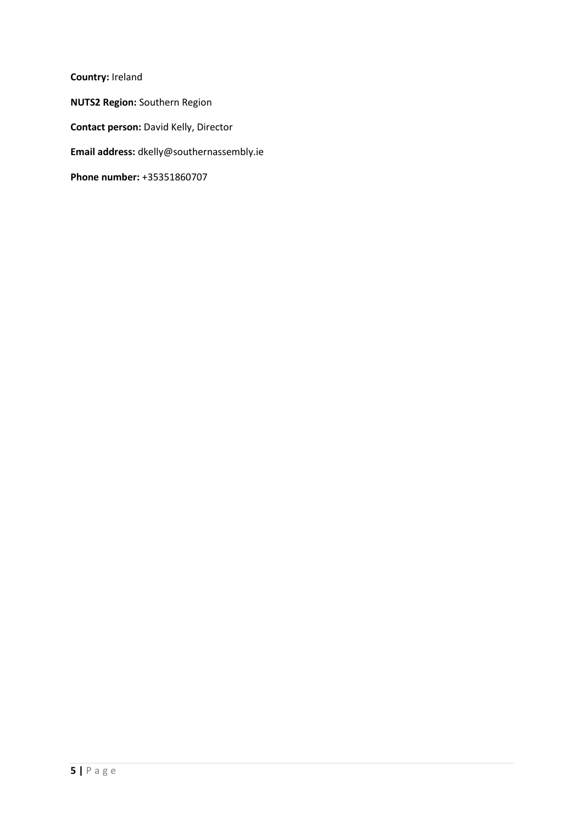**Country:** Ireland **NUTS2 Region:** Southern Region **Contact person:** David Kelly, Director **Email address:** dkelly@southernassembly.ie **Phone number:** +35351860707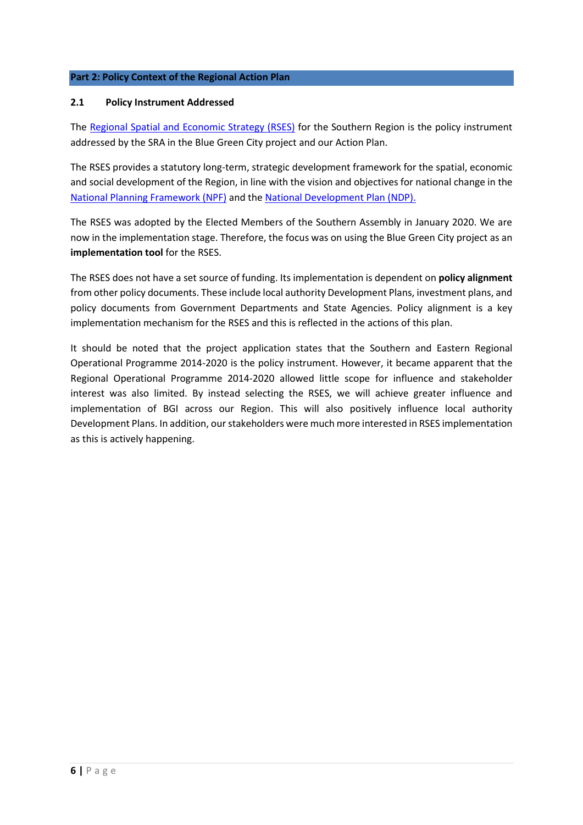# **Part 2: Policy Context of the Regional Action Plan**

# **2.1 Policy Instrument Addressed**

The [Regional Spatial and Economic Strategy \(RSES\)](http://www.southernassembly.ie/regional-planning/regional-spatial-and-economic-strategy) for the Southern Region is the policy instrument addressed by the SRA in the Blue Green City project and our Action Plan.

The RSES provides a statutory long-term, strategic development framework for the spatial, economic and social development of the Region, in line with the vision and objectives for national change in the [National Planning Framework \(NPF\)](https://npf.ie/) and th[e National Development](https://www.gov.ie/en/publication/774e2-national-development-plan-2021-2030/) Plan (NDP).

The RSES was adopted by the Elected Members of the Southern Assembly in January 2020. We are now in the implementation stage. Therefore, the focus was on using the Blue Green City project as an **implementation tool** for the RSES.

The RSES does not have a set source of funding. Its implementation is dependent on **policy alignment** from other policy documents. These include local authority Development Plans, investment plans, and policy documents from Government Departments and State Agencies. Policy alignment is a key implementation mechanism for the RSES and this is reflected in the actions of this plan.

It should be noted that the project application states that the Southern and Eastern Regional Operational Programme 2014-2020 is the policy instrument. However, it became apparent that the Regional Operational Programme 2014-2020 allowed little scope for influence and stakeholder interest was also limited. By instead selecting the RSES, we will achieve greater influence and implementation of BGI across our Region. This will also positively influence local authority Development Plans. In addition, ourstakeholders were much more interested in RSES implementation as this is actively happening.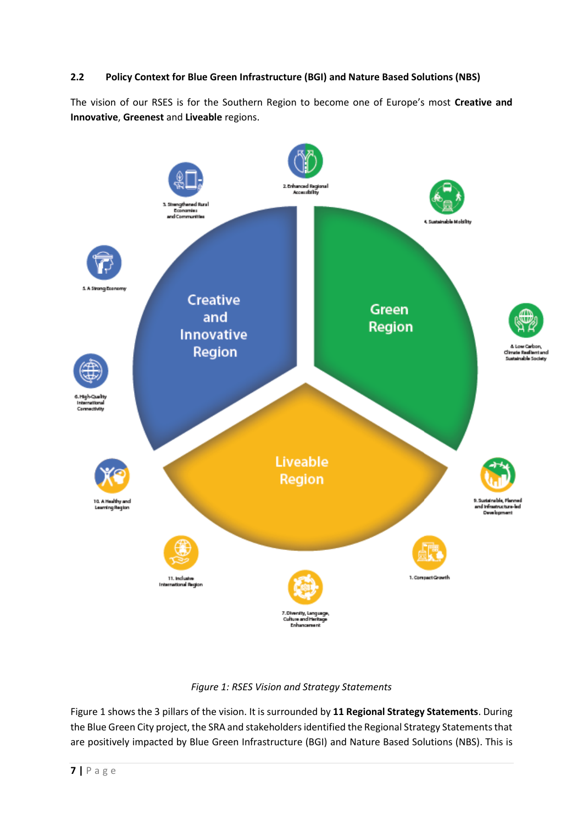# **2.2 Policy Context for Blue Green Infrastructure (BGI) and Nature Based Solutions (NBS)**

The vision of our RSES is for the Southern Region to become one of Europe's most **Creative and Innovative**, **Greenest** and **Liveable** regions.



*Figure 1: RSES Vision and Strategy Statements*

Figure 1 shows the 3 pillars of the vision. It is surrounded by **11 Regional Strategy Statements**. During the Blue Green City project, the SRA and stakeholders identified the Regional Strategy Statements that are positively impacted by Blue Green Infrastructure (BGI) and Nature Based Solutions (NBS). This is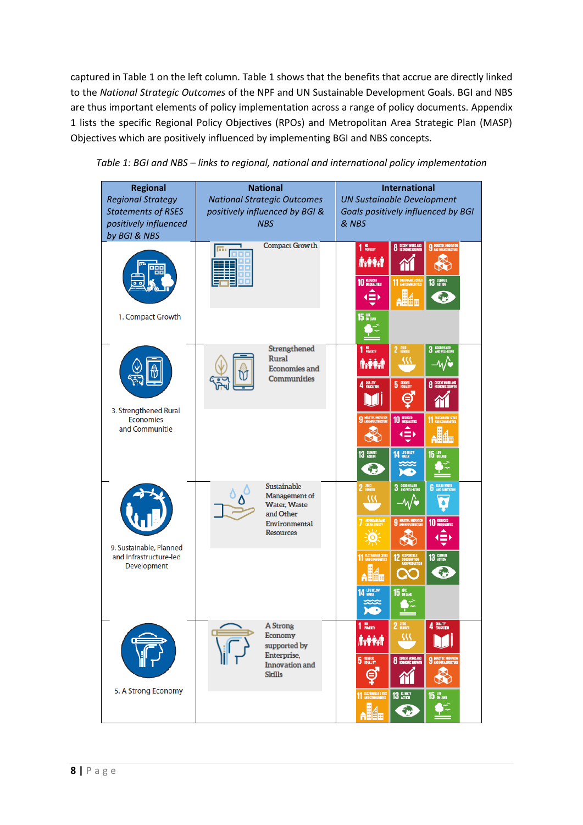captured in Table 1 on the left column. Table 1 shows that the benefits that accrue are directly linked to the *National Strategic Outcomes* of the NPF and UN Sustainable Development Goals. BGI and NBS are thus important elements of policy implementation across a range of policy documents. Appendix 1 lists the specific Regional Policy Objectives (RPOs) and Metropolitan Area Strategic Plan (MASP) Objectives which are positively influenced by implementing BGI and NBS concepts.

| <b>Regional</b><br><b>Regional Strategy</b><br><b>Statements of RSES</b><br>positively influenced<br>by BGI & NBS | <b>National</b><br><b>National Strategic Outcomes</b><br>positively influenced by BGI &<br><b>NBS</b> | <b>International</b><br><b>UN Sustainable Development</b><br>Goals positively influenced by BGI<br>& NBS                                                            |
|-------------------------------------------------------------------------------------------------------------------|-------------------------------------------------------------------------------------------------------|---------------------------------------------------------------------------------------------------------------------------------------------------------------------|
|                                                                                                                   | <b>Compact Growth</b>                                                                                 | <b>8</b> DECENT WORK AND<br>$110$ POVERTY<br><b>9</b> NOUSTRY, INNOVATION<br>Ñ.∲Ŷ⁄H<br><b>10 REDUCED</b><br><b>11 SUSTAINABLE CITES</b><br>13 GLIMATE<br><b>AHA</b> |
| 1. Compact Growth                                                                                                 |                                                                                                       | <b>15 UFE</b>                                                                                                                                                       |
|                                                                                                                   | Strengthened<br>Rural<br><b>Economies and</b><br><b>Communities</b>                                   | 2 ZERO<br>3 6000 HEALTH<br>1 NO <sub>POVERTY</sub><br><u>ss</u><br>$-\sqrt{2}$<br><b>Á:PHT</b>                                                                      |
| 3. Strengthened Rural                                                                                             |                                                                                                       | 4 QUALITY<br><b>5</b> ENDER<br><b>8</b> DECENT WORK AND<br>Θ                                                                                                        |
| <b>Economies</b><br>and Communitie                                                                                |                                                                                                       | <b>9</b> INDUSTRY, INVOVATION<br>10 REDUCED<br>$\left( \equiv \right)$                                                                                              |
|                                                                                                                   |                                                                                                       | 13 CLIMATE<br><b>14 UFE BELOW</b><br><b>15 LIFE</b><br>$\epsilon$                                                                                                   |
|                                                                                                                   | Sustainable<br>Management of<br><b>Water, Waste</b><br>and Other                                      | 3 GOOD HEALTH<br>3 AND WELL-BEING<br><b>6</b> CLEAN WATER<br>$2$ $2$ $\text{RRO}$<br>w<br>–⁄∧/ਵ                                                                     |
| 9. Sustainable, Planned                                                                                           | Environmental<br><b>Resources</b>                                                                     | 7 AFFORDABLE AND<br>10 REDUCED<br><b>9</b> INDUSTRY, INNOVATION<br>终                                                                                                |
| and Infrastructure-led<br><b>Development</b>                                                                      |                                                                                                       | 13 CLIMATE<br><b>11 SUSTAINABLE CITES</b><br><b>12 RESPONSIBLE</b><br>AND PRODUCTION<br>勉                                                                           |
|                                                                                                                   |                                                                                                       | <b>14 UFE BELOW</b><br><b>15 UFE</b>                                                                                                                                |
|                                                                                                                   | A Strong<br>Economy<br>supported by                                                                   | 4 QUALITY<br>$110$ POVERTY<br>$2 \frac{\text{zero}}{\text{HUNGER}}$<br>32<br><b>İrtiri</b>                                                                          |
|                                                                                                                   | Enterprise,<br><b>Innovation</b> and<br><b>Skills</b>                                                 | 5 ENDER<br><b>8</b> DECENT WORK AND<br><b>9</b> MOUSTRY, IMMOVATION<br>♣<br>Θ                                                                                       |
| 5. A Strong Economy                                                                                               |                                                                                                       | 11 SUSTAINABLE CITIES<br>13 GLIMATE<br><b>15 LIFE</b><br><b>Alla</b><br>3                                                                                           |

*Table 1: BGI and NBS – links to regional, national and international policy implementation*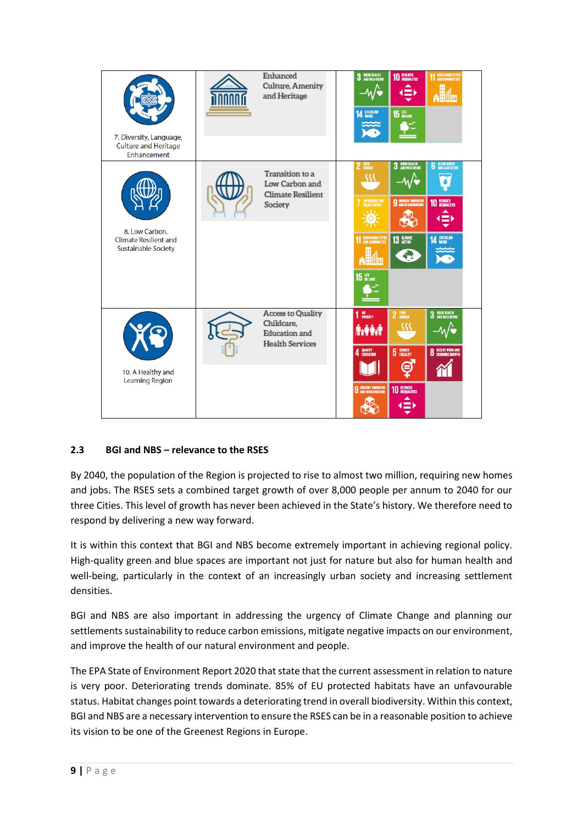| 7. Diversity, Language,<br><b>Culture and Heritage</b><br>Enhancement        | <b>Enhanced</b><br><b>Culture, Amenity</b><br>and Heritage                               | 3 GOOD HEALTH<br><b>14 UFE BELOW</b>                                                               | 10 REDUCED<br>$\Rightarrow$<br><b>15 UFE</b>                                                          | <b>11 SUSTAINABLE CITIES</b>                                  |
|------------------------------------------------------------------------------|------------------------------------------------------------------------------------------|----------------------------------------------------------------------------------------------------|-------------------------------------------------------------------------------------------------------|---------------------------------------------------------------|
| 8. Low Carbon,<br><b>Climate Resilient and</b><br><b>Sustainable Society</b> | <b>Transition</b> to a<br>Low Carbon and<br><b>Climate Resilient</b><br>Society          | 2 ZERO<br>، (۱<br>AFFORDABLE AND<br>CLEAN ENERGY<br><b>11 SUSTAINABLE CITIES</b><br><b>15 LIFE</b> | 3 GOOD HEALTH<br>3 AND WELL-BEING<br>$-\mathcal{N}$<br><b>9 MOUSTRY, MNOVATION</b><br>13 GLIMATE<br>÷ | <b>6</b> CLEAN WATER<br>10 REDUCED<br><b>14 UFE BELOW</b>     |
| 10. A Healthy and<br><b>Learning Region</b>                                  | <b>Access to Quality</b><br>Childcare,<br><b>Education</b> and<br><b>Health Services</b> | NO<br>Poverty<br>1<br><b>AxPAR</b><br>QUALITY<br>EDUCATION<br>4<br><b>9</b> INDUSTRY, INNOVATION   | 2 ZERO<br><b>5</b> EQUALITY<br>₽<br><b>10 REDUCED</b>                                                 | 3 600D HEALTH<br>3 AND WELL-BEING<br><b>8</b> DECENT WORK AND |

# **2.3 BGI and NBS – relevance to the RSES**

By 2040, the population of the Region is projected to rise to almost two million, requiring new homes and jobs. The RSES sets a combined target growth of over 8,000 people per annum to 2040 for our three Cities. This level of growth has never been achieved in the State's history. We therefore need to respond by delivering a new way forward.

It is within this context that BGI and NBS become extremely important in achieving regional policy. High-quality green and blue spaces are important not just for nature but also for human health and well-being, particularly in the context of an increasingly urban society and increasing settlement densities.

BGI and NBS are also important in addressing the urgency of Climate Change and planning our settlements sustainability to reduce carbon emissions, mitigate negative impacts on our environment, and improve the health of our natural environment and people.

The EPA State of Environment Report 2020 that state that the current assessment in relation to nature is very poor. Deteriorating trends dominate. 85% of EU protected habitats have an unfavourable status. Habitat changes point towards a deteriorating trend in overall biodiversity. Within this context, BGI and NBS are a necessary intervention to ensure the RSES can be in a reasonable position to achieve its vision to be one of the Greenest Regions in Europe.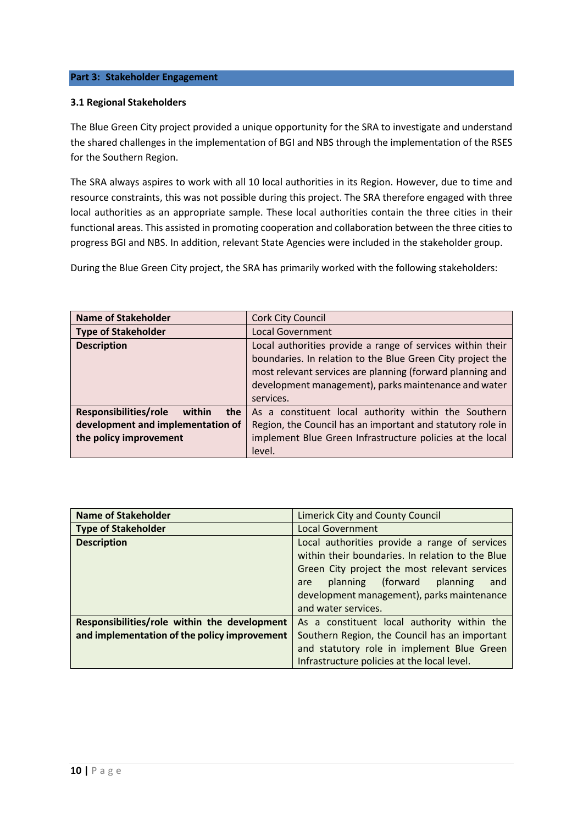# **Part 3: Stakeholder Engagement**

#### **3.1 Regional Stakeholders**

The Blue Green City project provided a unique opportunity for the SRA to investigate and understand the shared challenges in the implementation of BGI and NBS through the implementation of the RSES for the Southern Region.

The SRA always aspires to work with all 10 local authorities in its Region. However, due to time and resource constraints, this was not possible during this project. The SRA therefore engaged with three local authorities as an appropriate sample. These local authorities contain the three cities in their functional areas. This assisted in promoting cooperation and collaboration between the three cities to progress BGI and NBS. In addition, relevant State Agencies were included in the stakeholder group.

During the Blue Green City project, the SRA has primarily worked with the following stakeholders:

| <b>Name of Stakeholder</b>             | <b>Cork City Council</b>                                                                                                                                                                                                                                   |
|----------------------------------------|------------------------------------------------------------------------------------------------------------------------------------------------------------------------------------------------------------------------------------------------------------|
| <b>Type of Stakeholder</b>             | <b>Local Government</b>                                                                                                                                                                                                                                    |
| <b>Description</b>                     | Local authorities provide a range of services within their<br>boundaries. In relation to the Blue Green City project the<br>most relevant services are planning (forward planning and<br>development management), parks maintenance and water<br>services. |
| Responsibilities/role<br>within<br>the | As a constituent local authority within the Southern                                                                                                                                                                                                       |
| development and implementation of      | Region, the Council has an important and statutory role in                                                                                                                                                                                                 |
| the policy improvement                 | implement Blue Green Infrastructure policies at the local<br>level.                                                                                                                                                                                        |

| <b>Name of Stakeholder</b>                                                                   | <b>Limerick City and County Council</b>                                                                                                                                                                                                                             |
|----------------------------------------------------------------------------------------------|---------------------------------------------------------------------------------------------------------------------------------------------------------------------------------------------------------------------------------------------------------------------|
| <b>Type of Stakeholder</b>                                                                   | <b>Local Government</b>                                                                                                                                                                                                                                             |
| <b>Description</b>                                                                           | Local authorities provide a range of services<br>within their boundaries. In relation to the Blue<br>Green City project the most relevant services<br>planning (forward planning<br>and<br>are<br>development management), parks maintenance<br>and water services. |
| Responsibilities/role within the development<br>and implementation of the policy improvement | As a constituent local authority within the<br>Southern Region, the Council has an important<br>and statutory role in implement Blue Green                                                                                                                          |
|                                                                                              | Infrastructure policies at the local level.                                                                                                                                                                                                                         |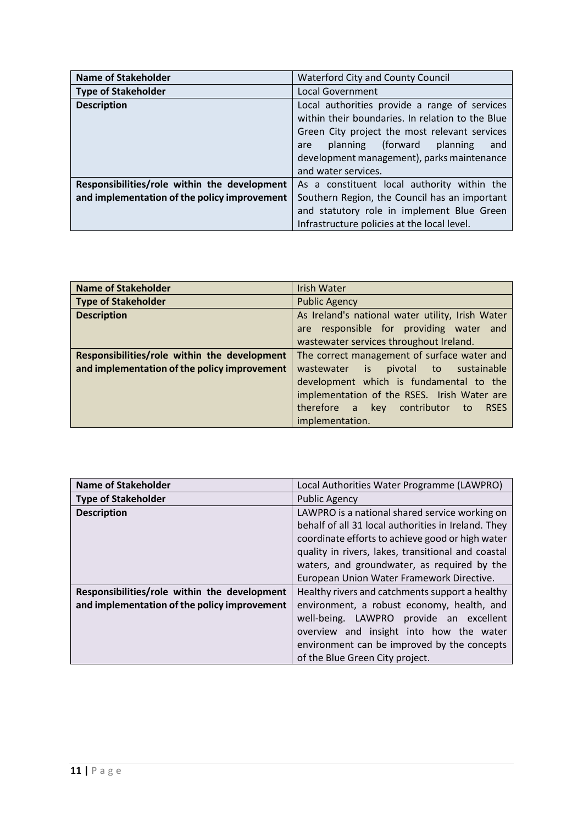| <b>Name of Stakeholder</b>                   | <b>Waterford City and County Council</b>                                                                                                                                                                                                                               |
|----------------------------------------------|------------------------------------------------------------------------------------------------------------------------------------------------------------------------------------------------------------------------------------------------------------------------|
| <b>Type of Stakeholder</b>                   | <b>Local Government</b>                                                                                                                                                                                                                                                |
| <b>Description</b>                           | Local authorities provide a range of services<br>within their boundaries. In relation to the Blue<br>Green City project the most relevant services<br>planning (forward<br>planning<br>and<br>are<br>development management), parks maintenance<br>and water services. |
| Responsibilities/role within the development | As a constituent local authority within the                                                                                                                                                                                                                            |
| and implementation of the policy improvement | Southern Region, the Council has an important<br>and statutory role in implement Blue Green<br>Infrastructure policies at the local level.                                                                                                                             |

| <b>Name of Stakeholder</b>                   | <b>Irish Water</b>                                     |
|----------------------------------------------|--------------------------------------------------------|
| <b>Type of Stakeholder</b>                   | <b>Public Agency</b>                                   |
| <b>Description</b>                           | As Ireland's national water utility, Irish Water       |
|                                              | are responsible for providing water and                |
|                                              | wastewater services throughout Ireland.                |
| Responsibilities/role within the development | The correct management of surface water and            |
| and implementation of the policy improvement | wastewater is<br>pivotal to<br>sustainable             |
|                                              | development which is fundamental to the                |
|                                              | implementation of the RSES. Irish Water are            |
|                                              | contributor<br>therefore a<br>key<br><b>RSES</b><br>to |
|                                              | implementation.                                        |

| <b>Name of Stakeholder</b>                   | Local Authorities Water Programme (LAWPRO)                                                                                                                                      |
|----------------------------------------------|---------------------------------------------------------------------------------------------------------------------------------------------------------------------------------|
| <b>Type of Stakeholder</b>                   | <b>Public Agency</b>                                                                                                                                                            |
| <b>Description</b>                           | LAWPRO is a national shared service working on<br>behalf of all 31 local authorities in Ireland. They<br>coordinate efforts to achieve good or high water                       |
|                                              | quality in rivers, lakes, transitional and coastal<br>waters, and groundwater, as required by the                                                                               |
|                                              | European Union Water Framework Directive.                                                                                                                                       |
| Responsibilities/role within the development | Healthy rivers and catchments support a healthy                                                                                                                                 |
| and implementation of the policy improvement | environment, a robust economy, health, and<br>well-being. LAWPRO provide an excellent<br>overview and insight into how the water<br>environment can be improved by the concepts |
|                                              | of the Blue Green City project.                                                                                                                                                 |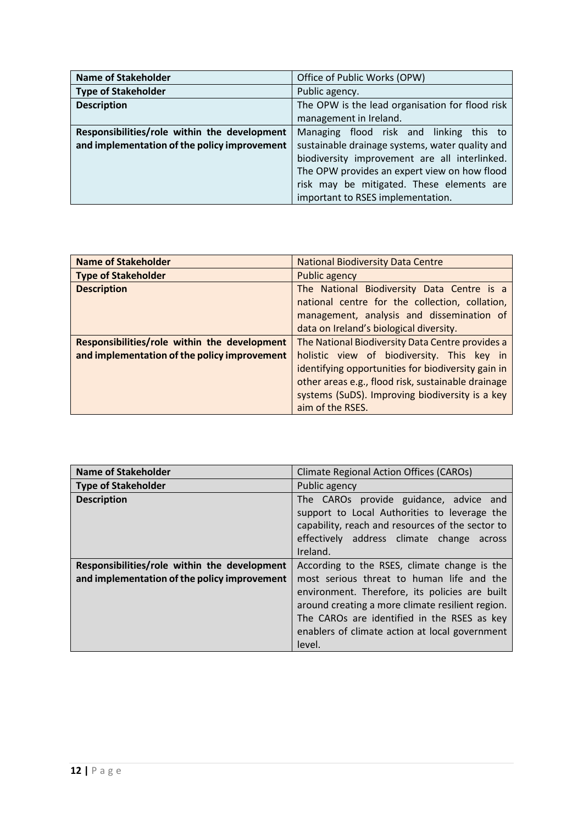| <b>Name of Stakeholder</b>                   | Office of Public Works (OPW)                    |  |
|----------------------------------------------|-------------------------------------------------|--|
| <b>Type of Stakeholder</b>                   | Public agency.                                  |  |
| <b>Description</b>                           | The OPW is the lead organisation for flood risk |  |
|                                              | management in Ireland.                          |  |
| Responsibilities/role within the development | Managing flood risk and linking this to         |  |
| and implementation of the policy improvement | sustainable drainage systems, water quality and |  |
|                                              | biodiversity improvement are all interlinked.   |  |
|                                              | The OPW provides an expert view on how flood    |  |
|                                              | risk may be mitigated. These elements are       |  |
|                                              | important to RSES implementation.               |  |

| <b>Name of Stakeholder</b>                   | <b>National Biodiversity Data Centre</b>           |
|----------------------------------------------|----------------------------------------------------|
| <b>Type of Stakeholder</b>                   | Public agency                                      |
| <b>Description</b>                           | The National Biodiversity Data Centre is a         |
|                                              | national centre for the collection, collation,     |
|                                              | management, analysis and dissemination of          |
|                                              | data on Ireland's biological diversity.            |
| Responsibilities/role within the development | The National Biodiversity Data Centre provides a   |
| and implementation of the policy improvement | holistic view of biodiversity. This key in         |
|                                              | identifying opportunities for biodiversity gain in |
|                                              | other areas e.g., flood risk, sustainable drainage |
|                                              | systems (SuDS). Improving biodiversity is a key    |
|                                              | aim of the RSES.                                   |

| <b>Name of Stakeholder</b>                                                                   | <b>Climate Regional Action Offices (CAROs)</b>                                                                                                                                                                                                                                                             |
|----------------------------------------------------------------------------------------------|------------------------------------------------------------------------------------------------------------------------------------------------------------------------------------------------------------------------------------------------------------------------------------------------------------|
| <b>Type of Stakeholder</b>                                                                   | Public agency                                                                                                                                                                                                                                                                                              |
| <b>Description</b>                                                                           | The CAROs provide guidance, advice and<br>support to Local Authorities to leverage the<br>capability, reach and resources of the sector to<br>effectively address climate change<br>across<br>Ireland.                                                                                                     |
| Responsibilities/role within the development<br>and implementation of the policy improvement | According to the RSES, climate change is the<br>most serious threat to human life and the<br>environment. Therefore, its policies are built<br>around creating a more climate resilient region.<br>The CAROs are identified in the RSES as key<br>enablers of climate action at local government<br>level. |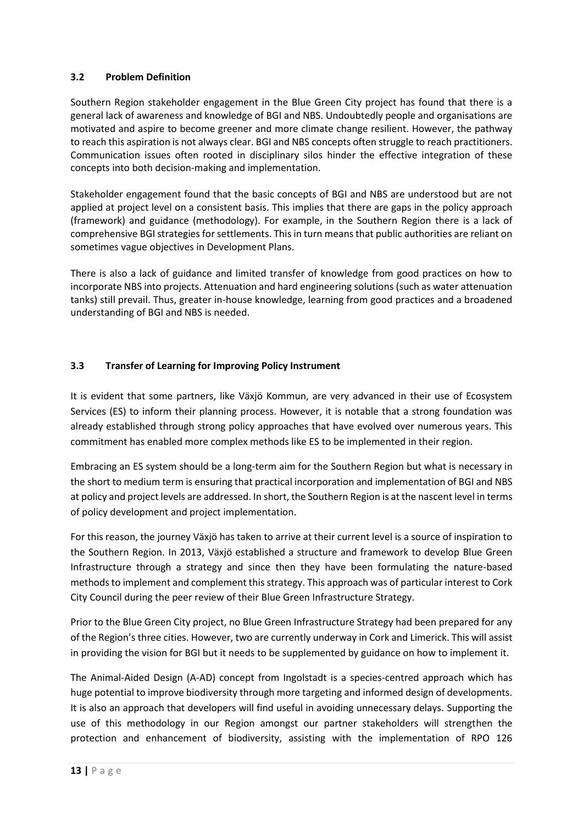# **3.2 Problem Definition**

Southern Region stakeholder engagement in the Blue Green City project has found that there is a general lack of awareness and knowledge of BGI and NBS. Undoubtedly people and organisations are motivated and aspire to become greener and more climate change resilient. However, the pathway to reach this aspiration is not always clear. BGI and NBS concepts often struggle to reach practitioners. Communication issues often rooted in disciplinary silos hinder the effective integration of these concepts into both decision-making and implementation.

Stakeholder engagement found that the basic concepts of BGI and NBS are understood but are not applied at project level on a consistent basis. This implies that there are gaps in the policy approach (framework) and guidance (methodology). For example, in the Southern Region there is a lack of comprehensive BGI strategies for settlements. This in turn means that public authorities are reliant on sometimes vague objectives in Development Plans.

There is also a lack of guidance and limited transfer of knowledge from good practices on how to incorporate NBS into projects. Attenuation and hard engineering solutions (such as water attenuation tanks) still prevail. Thus, greater in-house knowledge, learning from good practices and a broadened understanding of BGI and NBS is needed.

# **3.3 Transfer of Learning for Improving Policy Instrument**

It is evident that some partners, like Växjö Kommun, are very advanced in their use of Ecosystem Services (ES) to inform their planning process. However, it is notable that a strong foundation was already established through strong policy approaches that have evolved over numerous years. This commitment has enabled more complex methods like ES to be implemented in their region.

Embracing an ES system should be a long-term aim for the Southern Region but what is necessary in the short to medium term is ensuring that practical incorporation and implementation of BGI and NBS at policy and project levels are addressed. In short, the Southern Region is at the nascent level in terms of policy development and project implementation.

For this reason, the journey Växjö has taken to arrive at their current level is a source of inspiration to the Southern Region. In 2013, Växjö established a structure and framework to develop Blue Green Infrastructure through a strategy and since then they have been formulating the nature-based methods to implement and complement this strategy. This approach was of particular interest to Cork City Council during the peer review of their Blue Green Infrastructure Strategy.

Prior to the Blue Green City project, no Blue Green Infrastructure Strategy had been prepared for any of the Region's three cities. However, two are currently underway in Cork and Limerick. This will assist in providing the vision for BGI but it needs to be supplemented by guidance on how to implement it.

The Animal-Aided Design (A-AD) concept from Ingolstadt is a species-centred approach which has huge potential to improve biodiversity through more targeting and informed design of developments. It is also an approach that developers will find useful in avoiding unnecessary delays. Supporting the use of this methodology in our Region amongst our partner stakeholders will strengthen the protection and enhancement of biodiversity, assisting with the implementation of RPO 126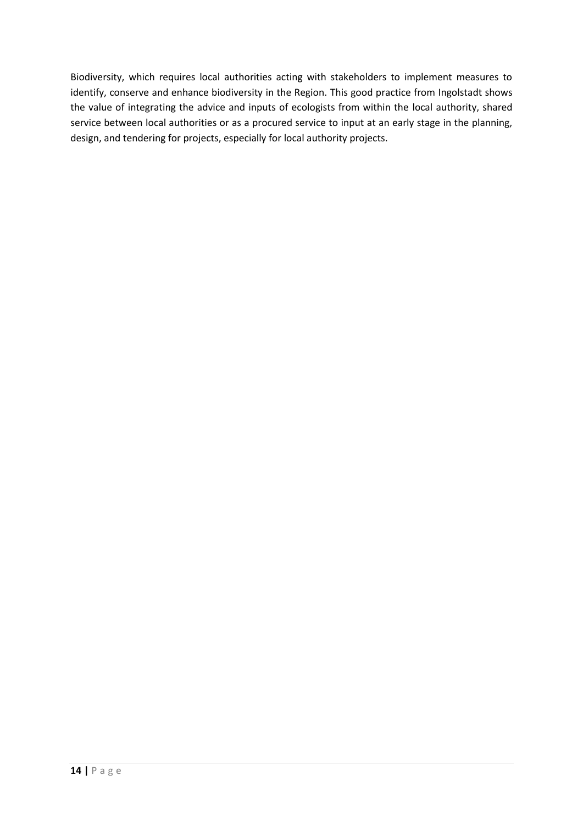Biodiversity, which requires local authorities acting with stakeholders to implement measures to identify, conserve and enhance biodiversity in the Region. This good practice from Ingolstadt shows the value of integrating the advice and inputs of ecologists from within the local authority, shared service between local authorities or as a procured service to input at an early stage in the planning, design, and tendering for projects, especially for local authority projects.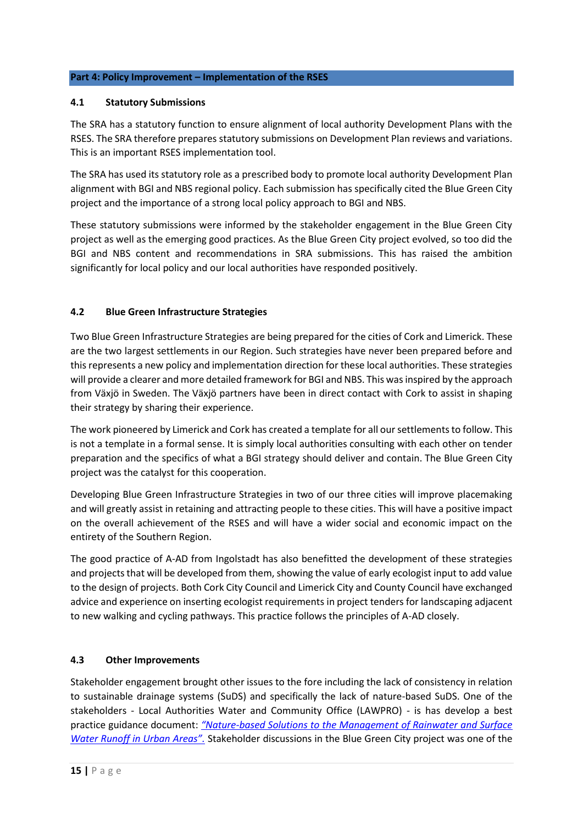# **Part 4: Policy Improvement – Implementation of the RSES**

# **4.1 Statutory Submissions**

The SRA has a statutory function to ensure alignment of local authority Development Plans with the RSES. The SRA therefore prepares statutory submissions on Development Plan reviews and variations. This is an important RSES implementation tool.

The SRA has used its statutory role as a prescribed body to promote local authority Development Plan alignment with BGI and NBS regional policy. Each submission has specifically cited the Blue Green City project and the importance of a strong local policy approach to BGI and NBS.

These statutory submissions were informed by the stakeholder engagement in the Blue Green City project as well as the emerging good practices. As the Blue Green City project evolved, so too did the BGI and NBS content and recommendations in SRA submissions. This has raised the ambition significantly for local policy and our local authorities have responded positively.

# **4.2 Blue Green Infrastructure Strategies**

Two Blue Green Infrastructure Strategies are being prepared for the cities of Cork and Limerick. These are the two largest settlements in our Region. Such strategies have never been prepared before and this represents a new policy and implementation direction for these local authorities. These strategies will provide a clearer and more detailed framework for BGI and NBS. This was inspired by the approach from Växjö in Sweden. The Växjö partners have been in direct contact with Cork to assist in shaping their strategy by sharing their experience.

The work pioneered by Limerick and Cork has created a template for all our settlements to follow. This is not a template in a formal sense. It is simply local authorities consulting with each other on tender preparation and the specifics of what a BGI strategy should deliver and contain. The Blue Green City project was the catalyst for this cooperation.

Developing Blue Green Infrastructure Strategies in two of our three cities will improve placemaking and will greatly assist in retaining and attracting people to these cities. This will have a positive impact on the overall achievement of the RSES and will have a wider social and economic impact on the entirety of the Southern Region.

The good practice of A-AD from Ingolstadt has also benefitted the development of these strategies and projects that will be developed from them, showing the value of early ecologist input to add value to the design of projects. Both Cork City Council and Limerick City and County Council have exchanged advice and experience on inserting ecologist requirements in project tenders for landscaping adjacent to new walking and cycling pathways. This practice follows the principles of A-AD closely.

# **4.3 Other Improvements**

Stakeholder engagement brought other issues to the fore including the lack of consistency in relation to sustainable drainage systems (SuDS) and specifically the lack of nature-based SuDS. One of the stakeholders - Local Authorities Water and Community Office (LAWPRO) - is has develop a best practice guidance document: *"Nature[-based Solutions to the Management of Rainwater and Surface](https://bit.ly/3GQLnrz)  [Water Runoff in Urban Areas".](https://bit.ly/3GQLnrz)* Stakeholder discussions in the Blue Green City project was one of the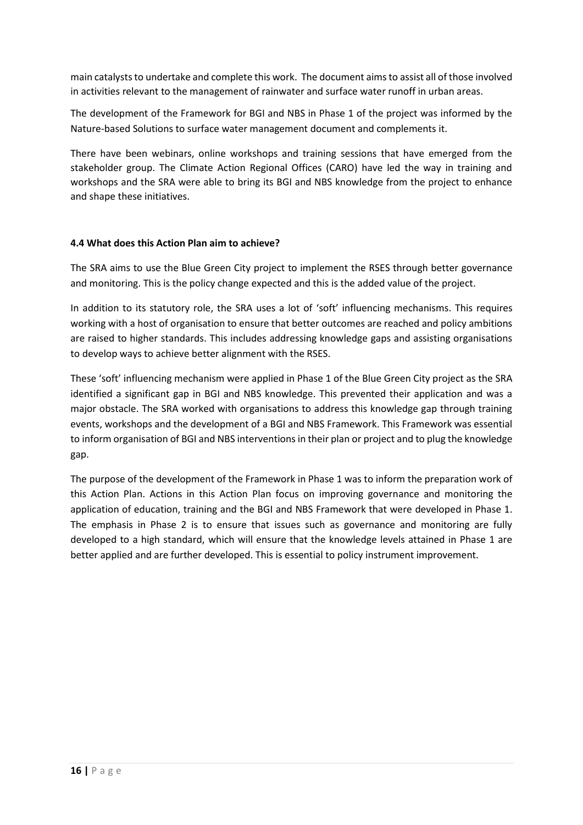main catalysts to undertake and complete this work. The document aims to assist all of those involved in activities relevant to the management of rainwater and surface water runoff in urban areas.

The development of the Framework for BGI and NBS in Phase 1 of the project was informed by the Nature-based Solutions to surface water management document and complements it.

There have been webinars, online workshops and training sessions that have emerged from the stakeholder group. The Climate Action Regional Offices (CARO) have led the way in training and workshops and the SRA were able to bring its BGI and NBS knowledge from the project to enhance and shape these initiatives.

# **4.4 What does this Action Plan aim to achieve?**

The SRA aims to use the Blue Green City project to implement the RSES through better governance and monitoring. This is the policy change expected and this is the added value of the project.

In addition to its statutory role, the SRA uses a lot of 'soft' influencing mechanisms. This requires working with a host of organisation to ensure that better outcomes are reached and policy ambitions are raised to higher standards. This includes addressing knowledge gaps and assisting organisations to develop ways to achieve better alignment with the RSES.

These 'soft' influencing mechanism were applied in Phase 1 of the Blue Green City project as the SRA identified a significant gap in BGI and NBS knowledge. This prevented their application and was a major obstacle. The SRA worked with organisations to address this knowledge gap through training events, workshops and the development of a BGI and NBS Framework. This Framework was essential to inform organisation of BGI and NBS interventions in their plan or project and to plug the knowledge gap.

The purpose of the development of the Framework in Phase 1 was to inform the preparation work of this Action Plan. Actions in this Action Plan focus on improving governance and monitoring the application of education, training and the BGI and NBS Framework that were developed in Phase 1. The emphasis in Phase 2 is to ensure that issues such as governance and monitoring are fully developed to a high standard, which will ensure that the knowledge levels attained in Phase 1 are better applied and are further developed. This is essential to policy instrument improvement.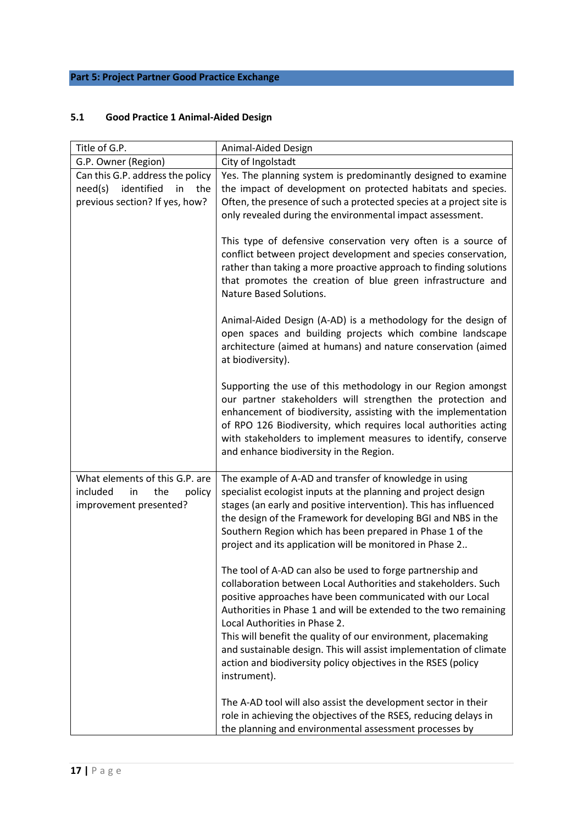# **Part 5: Project Partner Good Practice Exchange**

# **5.1 Good Practice 1 Animal-Aided Design**

| Title of G.P.                                                                                            | Animal-Aided Design                                                                                                                                                                                                                                                                                                                                                                                                                                                                                                    |
|----------------------------------------------------------------------------------------------------------|------------------------------------------------------------------------------------------------------------------------------------------------------------------------------------------------------------------------------------------------------------------------------------------------------------------------------------------------------------------------------------------------------------------------------------------------------------------------------------------------------------------------|
| G.P. Owner (Region)                                                                                      | City of Ingolstadt                                                                                                                                                                                                                                                                                                                                                                                                                                                                                                     |
| Can this G.P. address the policy<br>identified<br>need(s)<br>in<br>the<br>previous section? If yes, how? | Yes. The planning system is predominantly designed to examine<br>the impact of development on protected habitats and species.<br>Often, the presence of such a protected species at a project site is<br>only revealed during the environmental impact assessment.                                                                                                                                                                                                                                                     |
|                                                                                                          | This type of defensive conservation very often is a source of<br>conflict between project development and species conservation,<br>rather than taking a more proactive approach to finding solutions<br>that promotes the creation of blue green infrastructure and<br><b>Nature Based Solutions.</b>                                                                                                                                                                                                                  |
|                                                                                                          | Animal-Aided Design (A-AD) is a methodology for the design of<br>open spaces and building projects which combine landscape<br>architecture (aimed at humans) and nature conservation (aimed<br>at biodiversity).                                                                                                                                                                                                                                                                                                       |
|                                                                                                          | Supporting the use of this methodology in our Region amongst<br>our partner stakeholders will strengthen the protection and<br>enhancement of biodiversity, assisting with the implementation<br>of RPO 126 Biodiversity, which requires local authorities acting<br>with stakeholders to implement measures to identify, conserve<br>and enhance biodiversity in the Region.                                                                                                                                          |
| What elements of this G.P. are<br>included<br>in<br>the<br>policy<br>improvement presented?              | The example of A-AD and transfer of knowledge in using<br>specialist ecologist inputs at the planning and project design<br>stages (an early and positive intervention). This has influenced<br>the design of the Framework for developing BGI and NBS in the<br>Southern Region which has been prepared in Phase 1 of the<br>project and its application will be monitored in Phase 2                                                                                                                                 |
|                                                                                                          | The tool of A-AD can also be used to forge partnership and<br>collaboration between Local Authorities and stakeholders. Such<br>positive approaches have been communicated with our Local<br>Authorities in Phase 1 and will be extended to the two remaining<br>Local Authorities in Phase 2.<br>This will benefit the quality of our environment, placemaking<br>and sustainable design. This will assist implementation of climate<br>action and biodiversity policy objectives in the RSES (policy<br>instrument). |
|                                                                                                          | The A-AD tool will also assist the development sector in their<br>role in achieving the objectives of the RSES, reducing delays in<br>the planning and environmental assessment processes by                                                                                                                                                                                                                                                                                                                           |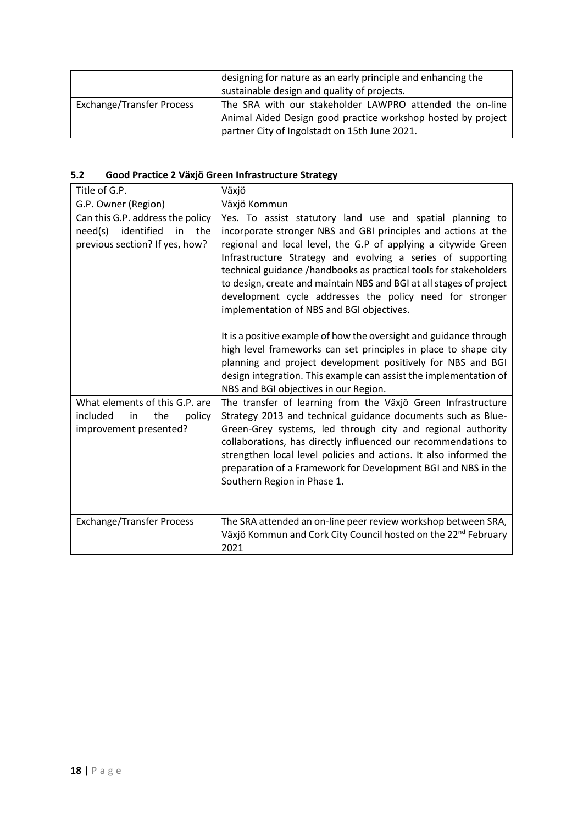|                                  | designing for nature as an early principle and enhancing the<br>sustainable design and quality of projects.                                                               |
|----------------------------------|---------------------------------------------------------------------------------------------------------------------------------------------------------------------------|
| <b>Exchange/Transfer Process</b> | The SRA with our stakeholder LAWPRO attended the on-line<br>Animal Aided Design good practice workshop hosted by project<br>partner City of Ingolstadt on 15th June 2021. |

# **5.2 Good Practice 2 Växjö Green Infrastructure Strategy**

| Title of G.P.                                                                                            | Växjö                                                                                                                                                                                                                                                                                                                                                                                                                                                                                                             |
|----------------------------------------------------------------------------------------------------------|-------------------------------------------------------------------------------------------------------------------------------------------------------------------------------------------------------------------------------------------------------------------------------------------------------------------------------------------------------------------------------------------------------------------------------------------------------------------------------------------------------------------|
| G.P. Owner (Region)                                                                                      | Växjö Kommun                                                                                                                                                                                                                                                                                                                                                                                                                                                                                                      |
| Can this G.P. address the policy<br>identified<br>need(s)<br>in<br>the<br>previous section? If yes, how? | Yes. To assist statutory land use and spatial planning to<br>incorporate stronger NBS and GBI principles and actions at the<br>regional and local level, the G.P of applying a citywide Green<br>Infrastructure Strategy and evolving a series of supporting<br>technical guidance /handbooks as practical tools for stakeholders<br>to design, create and maintain NBS and BGI at all stages of project<br>development cycle addresses the policy need for stronger<br>implementation of NBS and BGI objectives. |
|                                                                                                          | It is a positive example of how the oversight and guidance through<br>high level frameworks can set principles in place to shape city<br>planning and project development positively for NBS and BGI<br>design integration. This example can assist the implementation of<br>NBS and BGI objectives in our Region.                                                                                                                                                                                                |
| What elements of this G.P. are<br>policy<br>included<br>the<br>in<br>improvement presented?              | The transfer of learning from the Växjö Green Infrastructure<br>Strategy 2013 and technical guidance documents such as Blue-<br>Green-Grey systems, led through city and regional authority<br>collaborations, has directly influenced our recommendations to<br>strengthen local level policies and actions. It also informed the<br>preparation of a Framework for Development BGI and NBS in the<br>Southern Region in Phase 1.                                                                                |
| <b>Exchange/Transfer Process</b>                                                                         | The SRA attended an on-line peer review workshop between SRA,<br>Växjö Kommun and Cork City Council hosted on the 22 <sup>nd</sup> February<br>2021                                                                                                                                                                                                                                                                                                                                                               |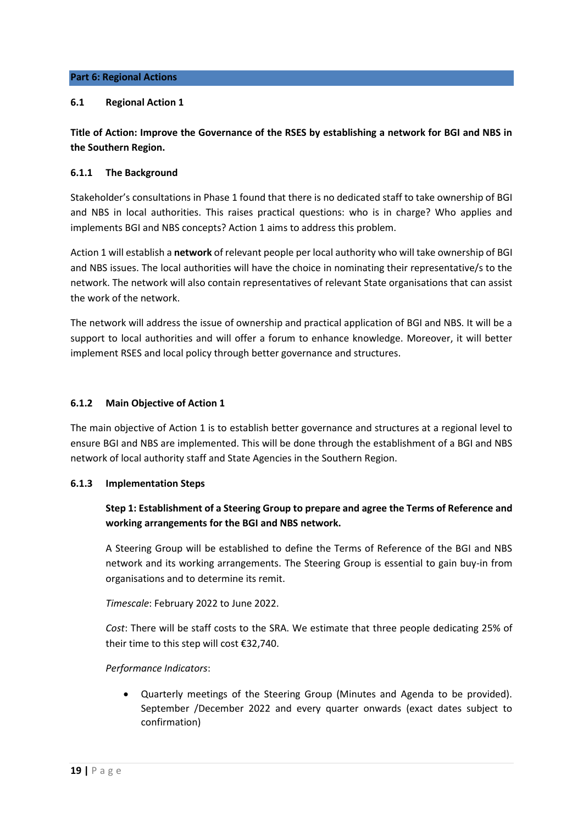#### **Part 6: Regional Actions**

# **6.1 Regional Action 1**

**Title of Action: Improve the Governance of the RSES by establishing a network for BGI and NBS in the Southern Region.** 

#### **6.1.1 The Background**

Stakeholder's consultations in Phase 1 found that there is no dedicated staff to take ownership of BGI and NBS in local authorities. This raises practical questions: who is in charge? Who applies and implements BGI and NBS concepts? Action 1 aims to address this problem.

Action 1 will establish a **network** of relevant people per local authority who will take ownership of BGI and NBS issues. The local authorities will have the choice in nominating their representative/s to the network. The network will also contain representatives of relevant State organisations that can assist the work of the network.

The network will address the issue of ownership and practical application of BGI and NBS. It will be a support to local authorities and will offer a forum to enhance knowledge. Moreover, it will better implement RSES and local policy through better governance and structures.

# **6.1.2 Main Objective of Action 1**

The main objective of Action 1 is to establish better governance and structures at a regional level to ensure BGI and NBS are implemented. This will be done through the establishment of a BGI and NBS network of local authority staff and State Agencies in the Southern Region.

# **6.1.3 Implementation Steps**

# **Step 1: Establishment of a Steering Group to prepare and agree the Terms of Reference and working arrangements for the BGI and NBS network.**

A Steering Group will be established to define the Terms of Reference of the BGI and NBS network and its working arrangements. The Steering Group is essential to gain buy-in from organisations and to determine its remit.

*Timescale*: February 2022 to June 2022.

*Cost*: There will be staff costs to the SRA. We estimate that three people dedicating 25% of their time to this step will cost €32,740.

*Performance Indicators*:

• Quarterly meetings of the Steering Group (Minutes and Agenda to be provided). September /December 2022 and every quarter onwards (exact dates subject to confirmation)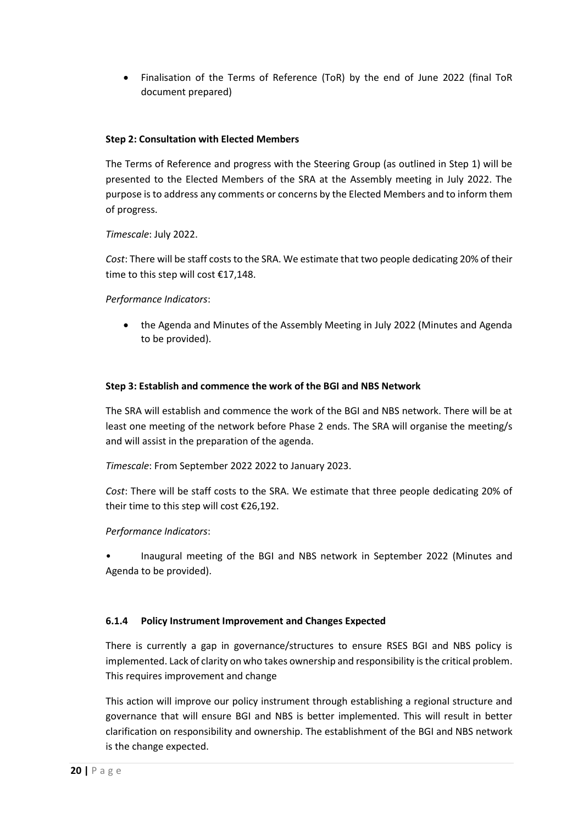• Finalisation of the Terms of Reference (ToR) by the end of June 2022 (final ToR document prepared)

# **Step 2: Consultation with Elected Members**

The Terms of Reference and progress with the Steering Group (as outlined in Step 1) will be presented to the Elected Members of the SRA at the Assembly meeting in July 2022. The purpose is to address any comments or concerns by the Elected Members and to inform them of progress.

# *Timescale*: July 2022.

*Cost*: There will be staff costs to the SRA. We estimate that two people dedicating 20% of their time to this step will cost €17,148.

# *Performance Indicators*:

• the Agenda and Minutes of the Assembly Meeting in July 2022 (Minutes and Agenda to be provided).

# **Step 3: Establish and commence the work of the BGI and NBS Network**

The SRA will establish and commence the work of the BGI and NBS network. There will be at least one meeting of the network before Phase 2 ends. The SRA will organise the meeting/s and will assist in the preparation of the agenda.

*Timescale*: From September 2022 2022 to January 2023.

*Cost*: There will be staff costs to the SRA. We estimate that three people dedicating 20% of their time to this step will cost €26,192.

# *Performance Indicators*:

• Inaugural meeting of the BGI and NBS network in September 2022 (Minutes and Agenda to be provided).

# **6.1.4 Policy Instrument Improvement and Changes Expected**

There is currently a gap in governance/structures to ensure RSES BGI and NBS policy is implemented. Lack of clarity on who takes ownership and responsibility is the critical problem. This requires improvement and change

This action will improve our policy instrument through establishing a regional structure and governance that will ensure BGI and NBS is better implemented. This will result in better clarification on responsibility and ownership. The establishment of the BGI and NBS network is the change expected.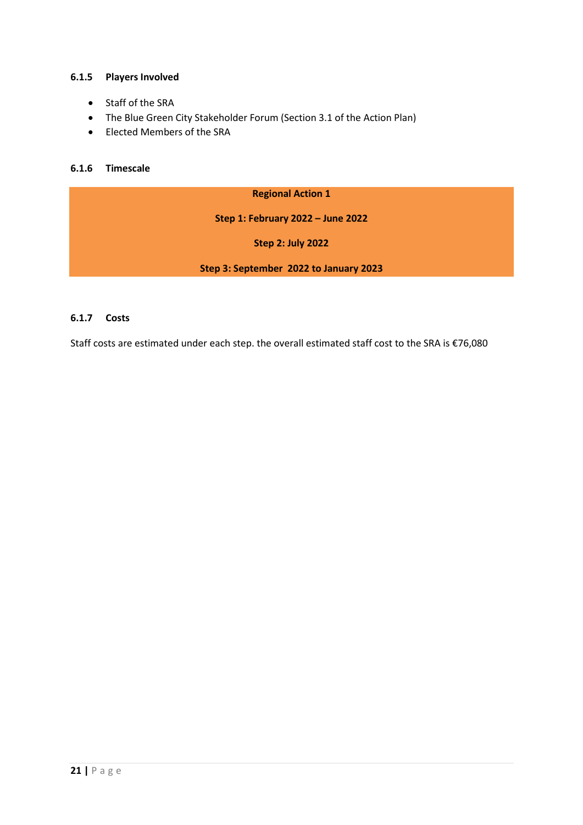# **6.1.5 Players Involved**

- Staff of the SRA
- The Blue Green City Stakeholder Forum (Section 3.1 of the Action Plan)
- Elected Members of the SRA

# **6.1.6 Timescale**

#### **Regional Action 1**

**Step 1: February 2022 – June 2022**

**Step 2: July 2022**

**Step 3: September 2022 to January 2023**

# **6.1.7 Costs**

Staff costs are estimated under each step. the overall estimated staff cost to the SRA is €76,080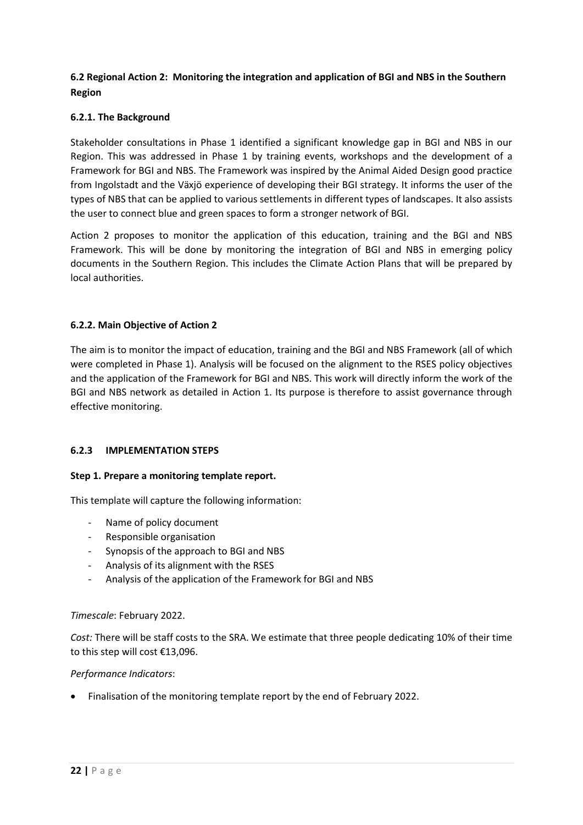# **6.2 Regional Action 2: Monitoring the integration and application of BGI and NBS in the Southern Region**

# **6.2.1. The Background**

Stakeholder consultations in Phase 1 identified a significant knowledge gap in BGI and NBS in our Region. This was addressed in Phase 1 by training events, workshops and the development of a Framework for BGI and NBS. The Framework was inspired by the Animal Aided Design good practice from Ingolstadt and the Växjö experience of developing their BGI strategy. It informs the user of the types of NBS that can be applied to various settlements in different types of landscapes. It also assists the user to connect blue and green spaces to form a stronger network of BGI.

Action 2 proposes to monitor the application of this education, training and the BGI and NBS Framework. This will be done by monitoring the integration of BGI and NBS in emerging policy documents in the Southern Region. This includes the Climate Action Plans that will be prepared by local authorities.

# **6.2.2. Main Objective of Action 2**

The aim is to monitor the impact of education, training and the BGI and NBS Framework (all of which were completed in Phase 1). Analysis will be focused on the alignment to the RSES policy objectives and the application of the Framework for BGI and NBS. This work will directly inform the work of the BGI and NBS network as detailed in Action 1. Its purpose is therefore to assist governance through effective monitoring.

# **6.2.3 IMPLEMENTATION STEPS**

# **Step 1. Prepare a monitoring template report.**

This template will capture the following information:

- Name of policy document
- Responsible organisation
- Synopsis of the approach to BGI and NBS
- Analysis of its alignment with the RSES
- Analysis of the application of the Framework for BGI and NBS

# *Timescale*: February 2022.

*Cost:* There will be staff costs to the SRA. We estimate that three people dedicating 10% of their time to this step will cost €13,096.

# *Performance Indicators*:

• Finalisation of the monitoring template report by the end of February 2022.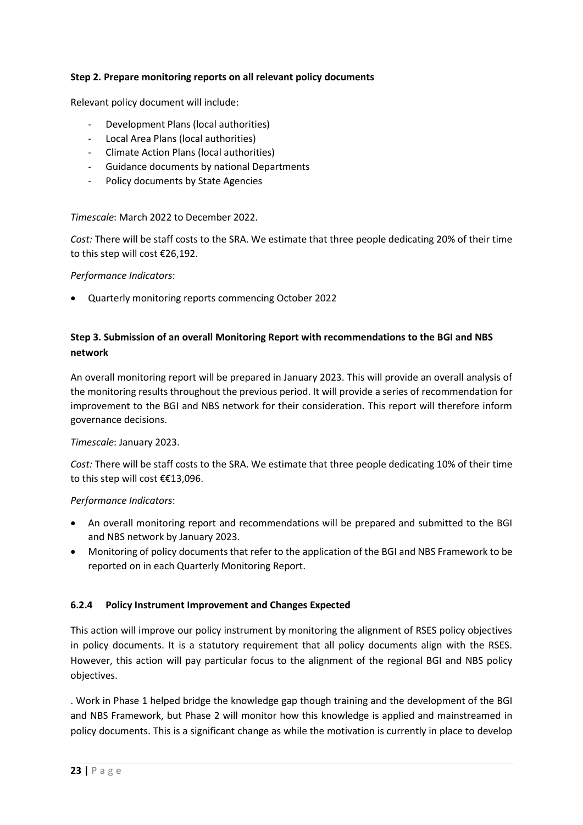# **Step 2. Prepare monitoring reports on all relevant policy documents**

Relevant policy document will include:

- Development Plans (local authorities)
- Local Area Plans (local authorities)
- Climate Action Plans (local authorities)
- Guidance documents by national Departments
- Policy documents by State Agencies

# *Timescale*: March 2022 to December 2022.

*Cost:* There will be staff costs to the SRA. We estimate that three people dedicating 20% of their time to this step will cost €26,192.

#### *Performance Indicators*:

• Quarterly monitoring reports commencing October 2022

# **Step 3. Submission of an overall Monitoring Report with recommendations to the BGI and NBS network**

An overall monitoring report will be prepared in January 2023. This will provide an overall analysis of the monitoring results throughout the previous period. It will provide a series of recommendation for improvement to the BGI and NBS network for their consideration. This report will therefore inform governance decisions.

# *Timescale*: January 2023.

*Cost:* There will be staff costs to the SRA. We estimate that three people dedicating 10% of their time to this step will cost €€13,096.

# *Performance Indicators*:

- An overall monitoring report and recommendations will be prepared and submitted to the BGI and NBS network by January 2023.
- Monitoring of policy documents that refer to the application of the BGI and NBS Framework to be reported on in each Quarterly Monitoring Report.

# **6.2.4 Policy Instrument Improvement and Changes Expected**

This action will improve our policy instrument by monitoring the alignment of RSES policy objectives in policy documents. It is a statutory requirement that all policy documents align with the RSES. However, this action will pay particular focus to the alignment of the regional BGI and NBS policy objectives.

. Work in Phase 1 helped bridge the knowledge gap though training and the development of the BGI and NBS Framework, but Phase 2 will monitor how this knowledge is applied and mainstreamed in policy documents. This is a significant change as while the motivation is currently in place to develop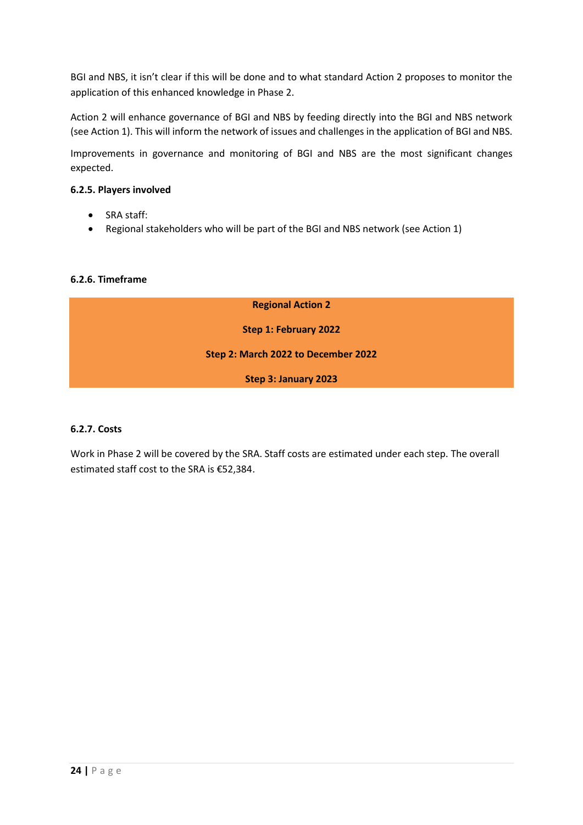BGI and NBS, it isn't clear if this will be done and to what standard Action 2 proposes to monitor the application of this enhanced knowledge in Phase 2.

Action 2 will enhance governance of BGI and NBS by feeding directly into the BGI and NBS network (see Action 1). This will inform the network of issues and challenges in the application of BGI and NBS.

Improvements in governance and monitoring of BGI and NBS are the most significant changes expected.

# **6.2.5. Players involved**

- SRA staff:
- Regional stakeholders who will be part of the BGI and NBS network (see Action 1)

# **6.2.6. Timeframe**

# **6.2.7. Costs**

Work in Phase 2 will be covered by the SRA. Staff costs are estimated under each step. The overall estimated staff cost to the SRA is €52,384.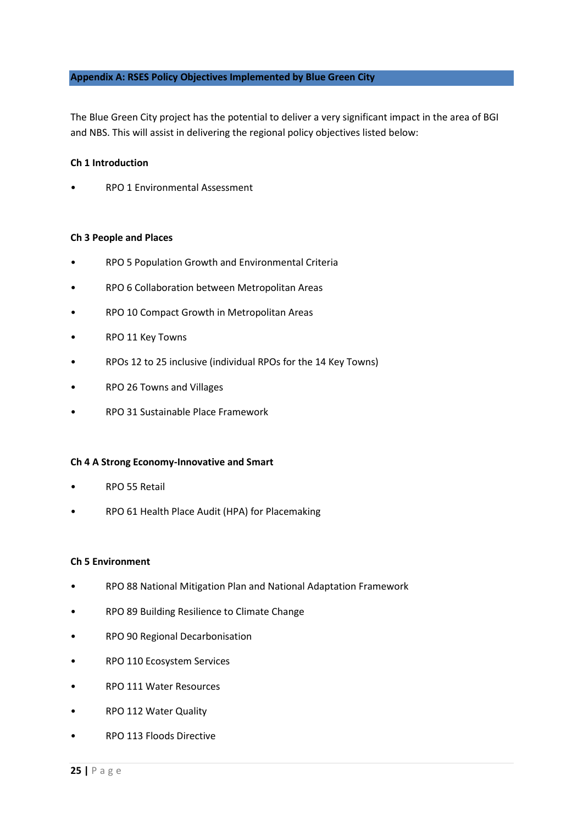#### **Appendix A: RSES Policy Objectives Implemented by Blue Green City**

The Blue Green City project has the potential to deliver a very significant impact in the area of BGI and NBS. This will assist in delivering the regional policy objectives listed below:

#### **Ch 1 Introduction**

• RPO 1 Environmental Assessment

#### **Ch 3 People and Places**

- RPO 5 Population Growth and Environmental Criteria
- RPO 6 Collaboration between Metropolitan Areas
- RPO 10 Compact Growth in Metropolitan Areas
- RPO 11 Key Towns
- RPOs 12 to 25 inclusive (individual RPOs for the 14 Key Towns)
- RPO 26 Towns and Villages
- RPO 31 Sustainable Place Framework

#### **Ch 4 A Strong Economy-Innovative and Smart**

- RPO 55 Retail
- RPO 61 Health Place Audit (HPA) for Placemaking

#### **Ch 5 Environment**

- RPO 88 National Mitigation Plan and National Adaptation Framework
- RPO 89 Building Resilience to Climate Change
- RPO 90 Regional Decarbonisation
- RPO 110 Ecosystem Services
- RPO 111 Water Resources
- RPO 112 Water Quality
- RPO 113 Floods Directive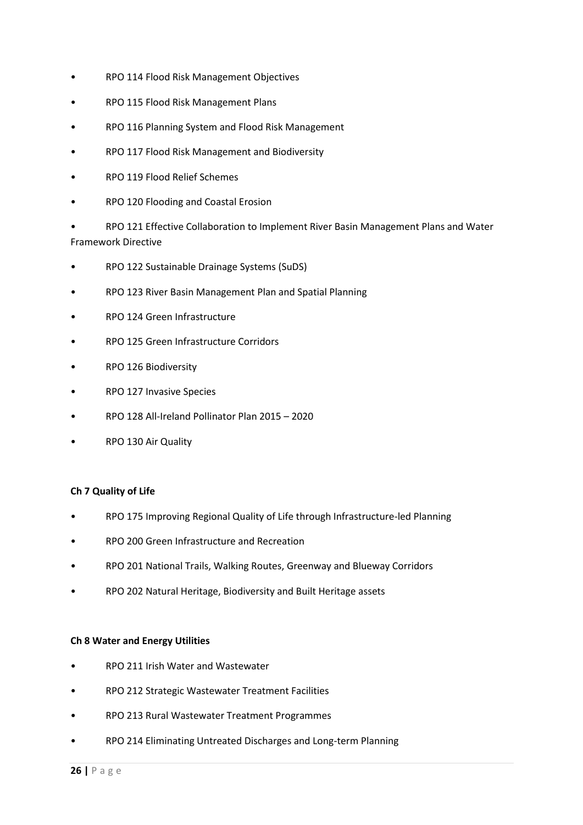- RPO 114 Flood Risk Management Objectives
- RPO 115 Flood Risk Management Plans
- RPO 116 Planning System and Flood Risk Management
- RPO 117 Flood Risk Management and Biodiversity
- RPO 119 Flood Relief Schemes
- RPO 120 Flooding and Coastal Erosion

• RPO 121 Effective Collaboration to Implement River Basin Management Plans and Water Framework Directive

- RPO 122 Sustainable Drainage Systems (SuDS)
- RPO 123 River Basin Management Plan and Spatial Planning
- RPO 124 Green Infrastructure
- RPO 125 Green Infrastructure Corridors
- RPO 126 Biodiversity
- RPO 127 Invasive Species
- RPO 128 All-Ireland Pollinator Plan 2015 2020
- RPO 130 Air Quality

# **Ch 7 Quality of Life**

- RPO 175 Improving Regional Quality of Life through Infrastructure-led Planning
- RPO 200 Green Infrastructure and Recreation
- RPO 201 National Trails, Walking Routes, Greenway and Blueway Corridors
- RPO 202 Natural Heritage, Biodiversity and Built Heritage assets

# **Ch 8 Water and Energy Utilities**

- RPO 211 Irish Water and Wastewater
- RPO 212 Strategic Wastewater Treatment Facilities
- RPO 213 Rural Wastewater Treatment Programmes
- RPO 214 Eliminating Untreated Discharges and Long-term Planning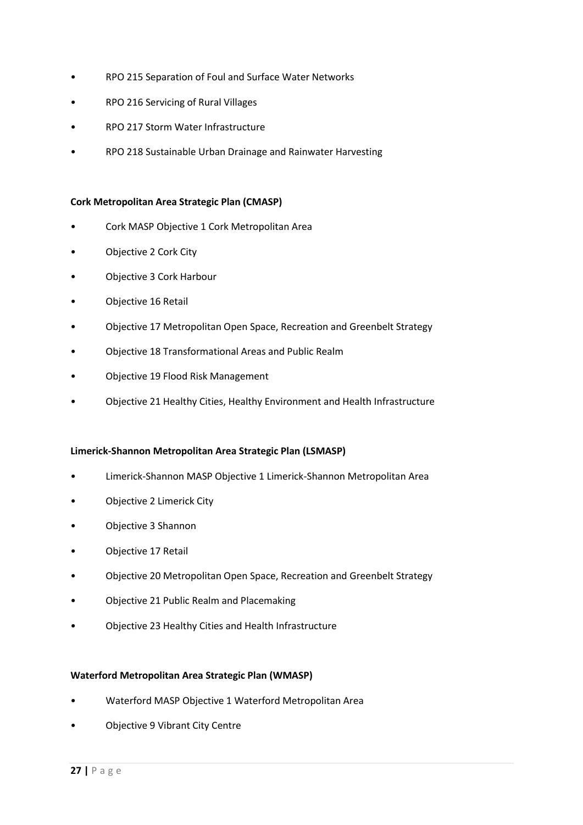- RPO 215 Separation of Foul and Surface Water Networks
- RPO 216 Servicing of Rural Villages
- RPO 217 Storm Water Infrastructure
- RPO 218 Sustainable Urban Drainage and Rainwater Harvesting

#### **Cork Metropolitan Area Strategic Plan (CMASP)**

- Cork MASP Objective 1 Cork Metropolitan Area
- Objective 2 Cork City
- Objective 3 Cork Harbour
- Objective 16 Retail
- Objective 17 Metropolitan Open Space, Recreation and Greenbelt Strategy
- Objective 18 Transformational Areas and Public Realm
- Objective 19 Flood Risk Management
- Objective 21 Healthy Cities, Healthy Environment and Health Infrastructure

# **Limerick-Shannon Metropolitan Area Strategic Plan (LSMASP)**

- Limerick-Shannon MASP Objective 1 Limerick-Shannon Metropolitan Area
- Objective 2 Limerick City
- Objective 3 Shannon
- Objective 17 Retail
- Objective 20 Metropolitan Open Space, Recreation and Greenbelt Strategy
- Objective 21 Public Realm and Placemaking
- Objective 23 Healthy Cities and Health Infrastructure

# **Waterford Metropolitan Area Strategic Plan (WMASP)**

- Waterford MASP Objective 1 Waterford Metropolitan Area
- Objective 9 Vibrant City Centre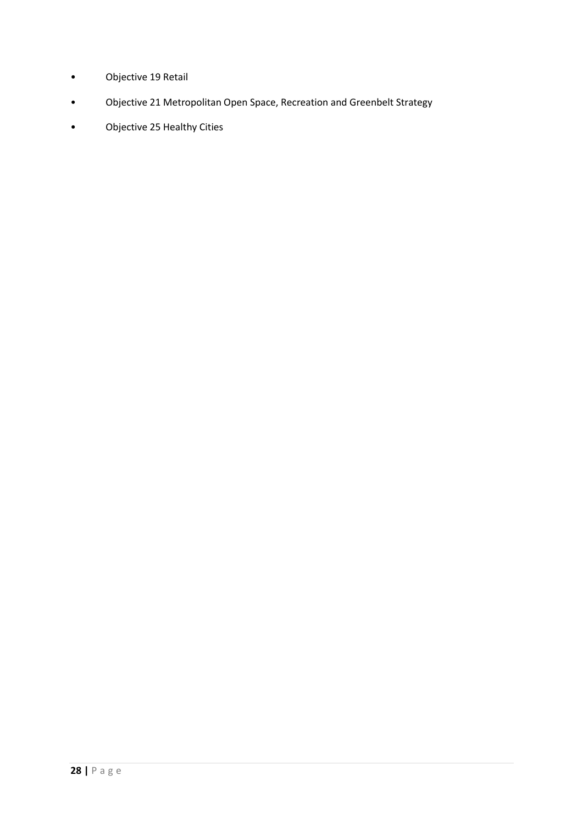- Objective 19 Retail
- Objective 21 Metropolitan Open Space, Recreation and Greenbelt Strategy
- Objective 25 Healthy Cities